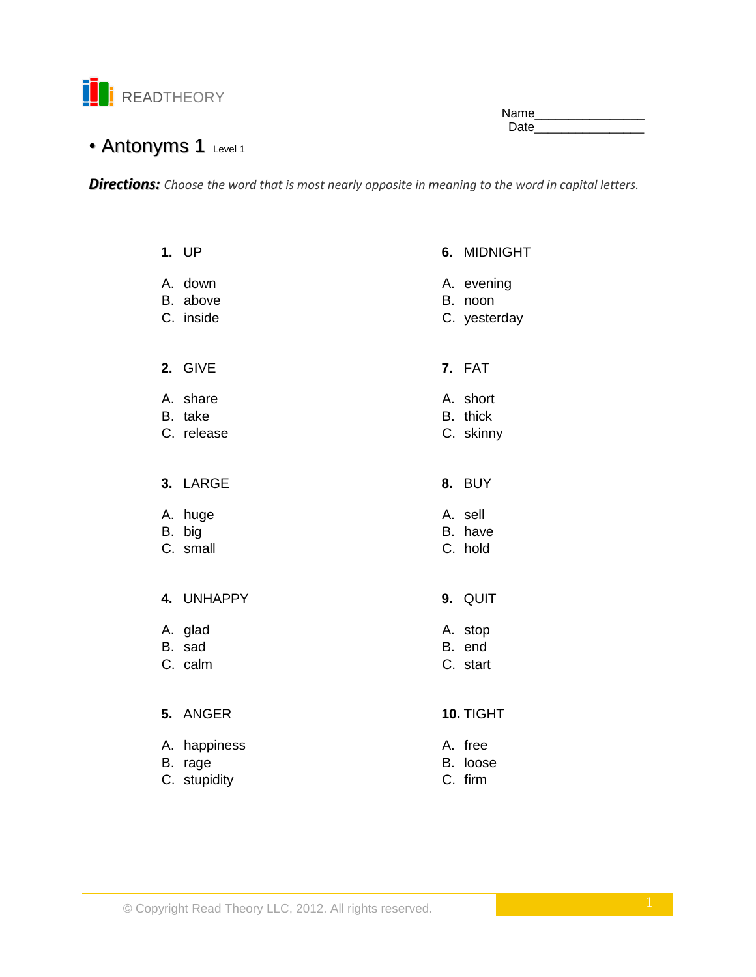

Name\_\_\_\_\_\_\_\_\_\_\_\_\_\_\_\_ Date\_\_\_\_\_\_\_\_\_\_\_\_\_\_\_\_

# • Antonyms 1 Level 1

*Directions: Choose the word that is most nearly opposite in meaning to the word in capital letters.*

|                | 1. UP                          |    | 6. MIDNIGHT                           |
|----------------|--------------------------------|----|---------------------------------------|
| А.<br>B.       | down<br>above<br>C. inside     |    | A. evening<br>B. noon<br>C. yesterday |
|                | 2. GIVE                        |    | 7. FAT                                |
| А.<br>B.       | share<br>take<br>C. release    |    | A. short<br>B. thick<br>C. skinny     |
|                | 3. LARGE                       | 8. | BUY                                   |
| А.             | huge<br>B. big<br>C. small     |    | A. sell<br>B. have<br>C. hold         |
|                | 4. UNHAPPY                     |    | 9. QUIT                               |
|                | A. glad<br>B. sad<br>C. calm   |    | A. stop<br>B. end<br>C. start         |
| 5.             | <b>ANGER</b>                   |    | 10. TIGHT                             |
| Α.<br>В.<br>C. | happiness<br>rage<br>stupidity | В. | A. free<br>loose<br>C. firm           |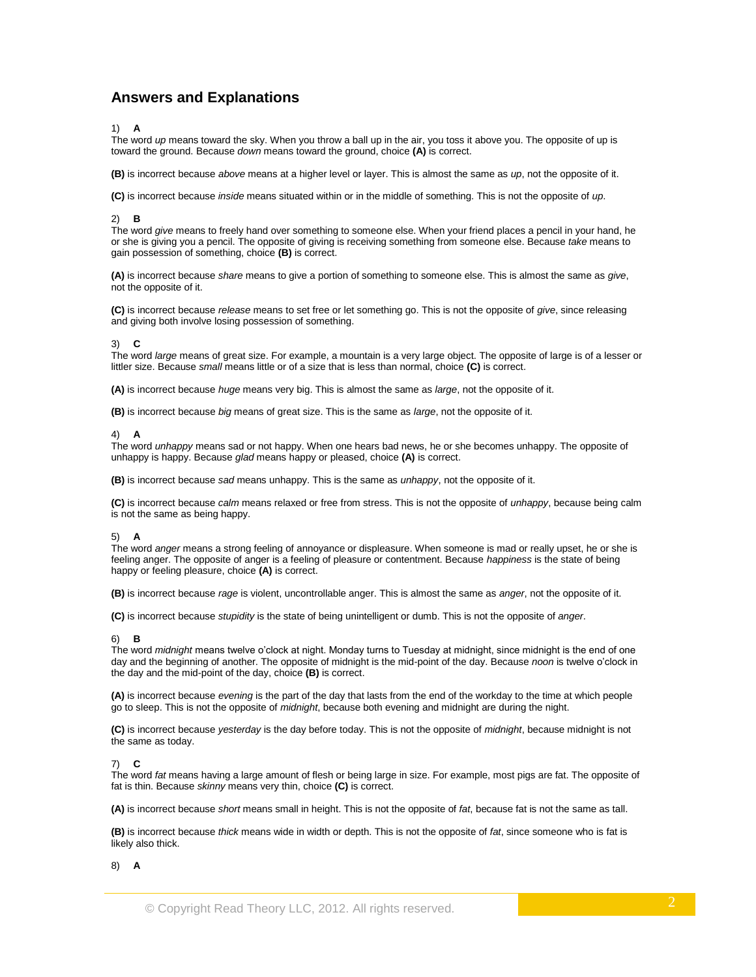# **Answers and Explanations**

# 1) **A**

The word *up* means toward the sky. When you throw a ball up in the air, you toss it above you. The opposite of up is toward the ground. Because *down* means toward the ground, choice **(A)** is correct.

**(B)** is incorrect because *above* means at a higher level or layer. This is almost the same as *up*, not the opposite of it.

**(C)** is incorrect because *inside* means situated within or in the middle of something. This is not the opposite of *up*.

### 2) **B**

The word *give* means to freely hand over something to someone else. When your friend places a pencil in your hand, he or she is giving you a pencil. The opposite of giving is receiving something from someone else. Because *take* means to gain possession of something, choice **(B)** is correct.

**(A)** is incorrect because *share* means to give a portion of something to someone else. This is almost the same as *give*, not the opposite of it.

**(C)** is incorrect because *release* means to set free or let something go. This is not the opposite of *give*, since releasing and giving both involve losing possession of something.

#### 3) **C**

The word *large* means of great size. For example, a mountain is a very large object. The opposite of large is of a lesser or littler size. Because *small* means little or of a size that is less than normal, choice **(C)** is correct.

**(A)** is incorrect because *huge* means very big. This is almost the same as *large*, not the opposite of it.

**(B)** is incorrect because *big* means of great size. This is the same as *large*, not the opposite of it.

#### 4) **A**

The word *unhappy* means sad or not happy. When one hears bad news, he or she becomes unhappy. The opposite of unhappy is happy. Because *glad* means happy or pleased, choice **(A)** is correct.

**(B)** is incorrect because *sad* means unhappy. This is the same as *unhappy*, not the opposite of it.

**(C)** is incorrect because *calm* means relaxed or free from stress. This is not the opposite of *unhappy*, because being calm is not the same as being happy.

# 5) **A**

The word *anger* means a strong feeling of annoyance or displeasure. When someone is mad or really upset, he or she is feeling anger. The opposite of anger is a feeling of pleasure or contentment. Because *happiness* is the state of being happy or feeling pleasure, choice **(A)** is correct.

**(B)** is incorrect because *rage* is violent, uncontrollable anger. This is almost the same as *anger*, not the opposite of it.

**(C)** is incorrect because *stupidity* is the state of being unintelligent or dumb. This is not the opposite of *anger*.

#### 6) **B**

The word *midnight* means twelve o'clock at night. Monday turns to Tuesday at midnight, since midnight is the end of one day and the beginning of another. The opposite of midnight is the mid-point of the day. Because *noon* is twelve o'clock in the day and the mid-point of the day, choice **(B)** is correct.

**(A)** is incorrect because *evening* is the part of the day that lasts from the end of the workday to the time at which people go to sleep. This is not the opposite of *midnight*, because both evening and midnight are during the night.

**(C)** is incorrect because *yesterday* is the day before today. This is not the opposite of *midnight*, because midnight is not the same as today.

#### 7) **C**

The word *fat* means having a large amount of flesh or being large in size. For example, most pigs are fat. The opposite of fat is thin. Because *skinny* means very thin, choice **(C)** is correct.

**(A)** is incorrect because *short* means small in height. This is not the opposite of *fat*, because fat is not the same as tall.

**(B)** is incorrect because *thick* means wide in width or depth. This is not the opposite of *fat*, since someone who is fat is likely also thick.

#### 8) **A**